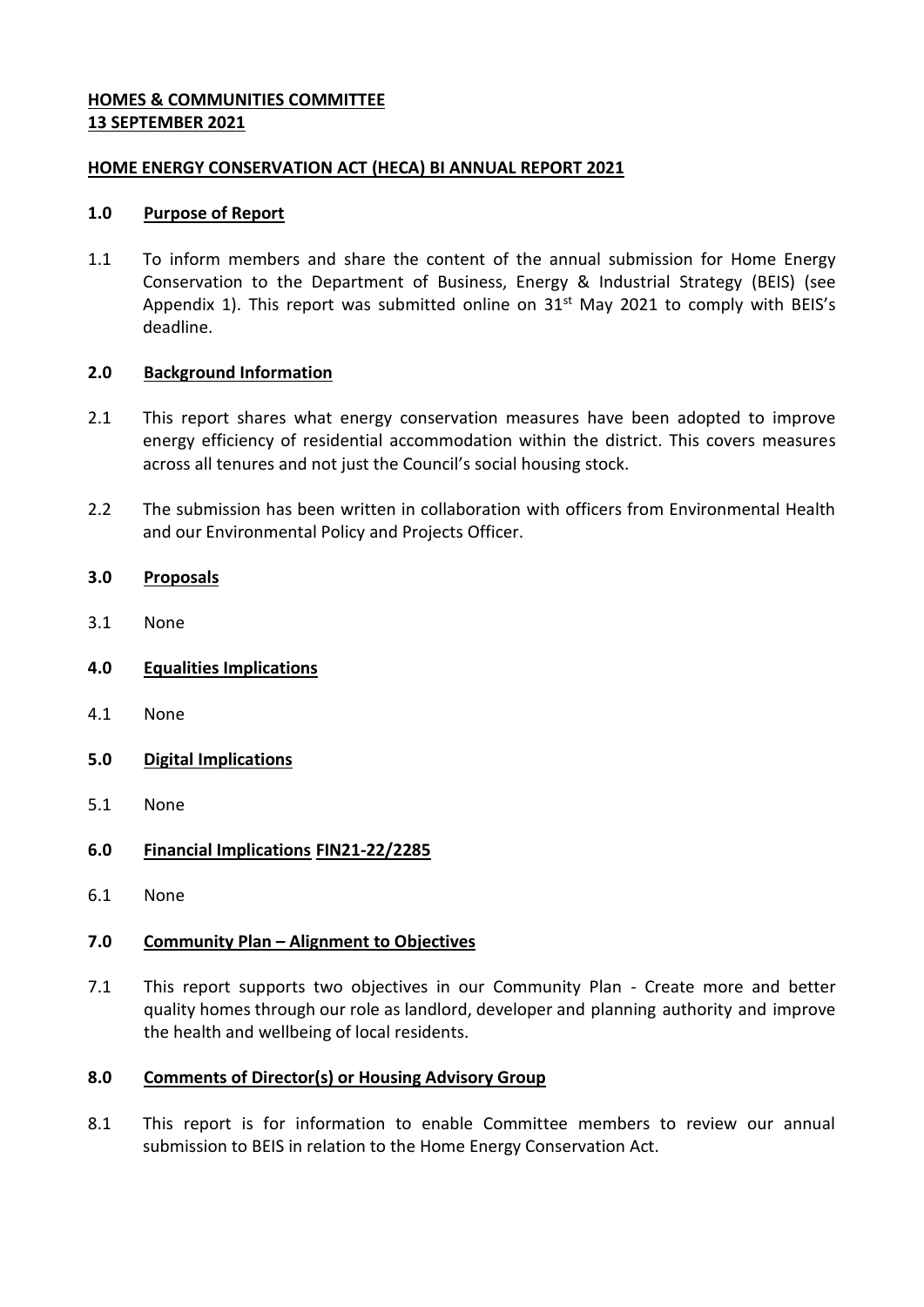### **HOMES & COMMUNITIES COMMITTEE 13 SEPTEMBER 2021**

### **HOME ENERGY CONSERVATION ACT (HECA) BI ANNUAL REPORT 2021**

### **1.0 Purpose of Report**

1.1 To inform members and share the content of the annual submission for Home Energy Conservation to the Department of Business, Energy & Industrial Strategy (BEIS) (see Appendix 1). This report was submitted online on  $31<sup>st</sup>$  May 2021 to comply with BEIS's deadline.

### **2.0 Background Information**

- 2.1 This report shares what energy conservation measures have been adopted to improve energy efficiency of residential accommodation within the district. This covers measures across all tenures and not just the Council's social housing stock.
- 2.2 The submission has been written in collaboration with officers from Environmental Health and our Environmental Policy and Projects Officer.

# **3.0 Proposals**

- 3.1 None
- **4.0 Equalities Implications**
- 4.1 None
- **5.0 Digital Implications**
- 5.1 None

# **6.0 Financial Implications FIN21-22/2285**

6.1 None

# **7.0 Community Plan – Alignment to Objectives**

7.1 This report supports two objectives in our Community Plan - Create more and better quality homes through our role as landlord, developer and planning authority and improve the health and wellbeing of local residents.

### **8.0 Comments of Director(s) or Housing Advisory Group**

8.1 This report is for information to enable Committee members to review our annual submission to BEIS in relation to the Home Energy Conservation Act.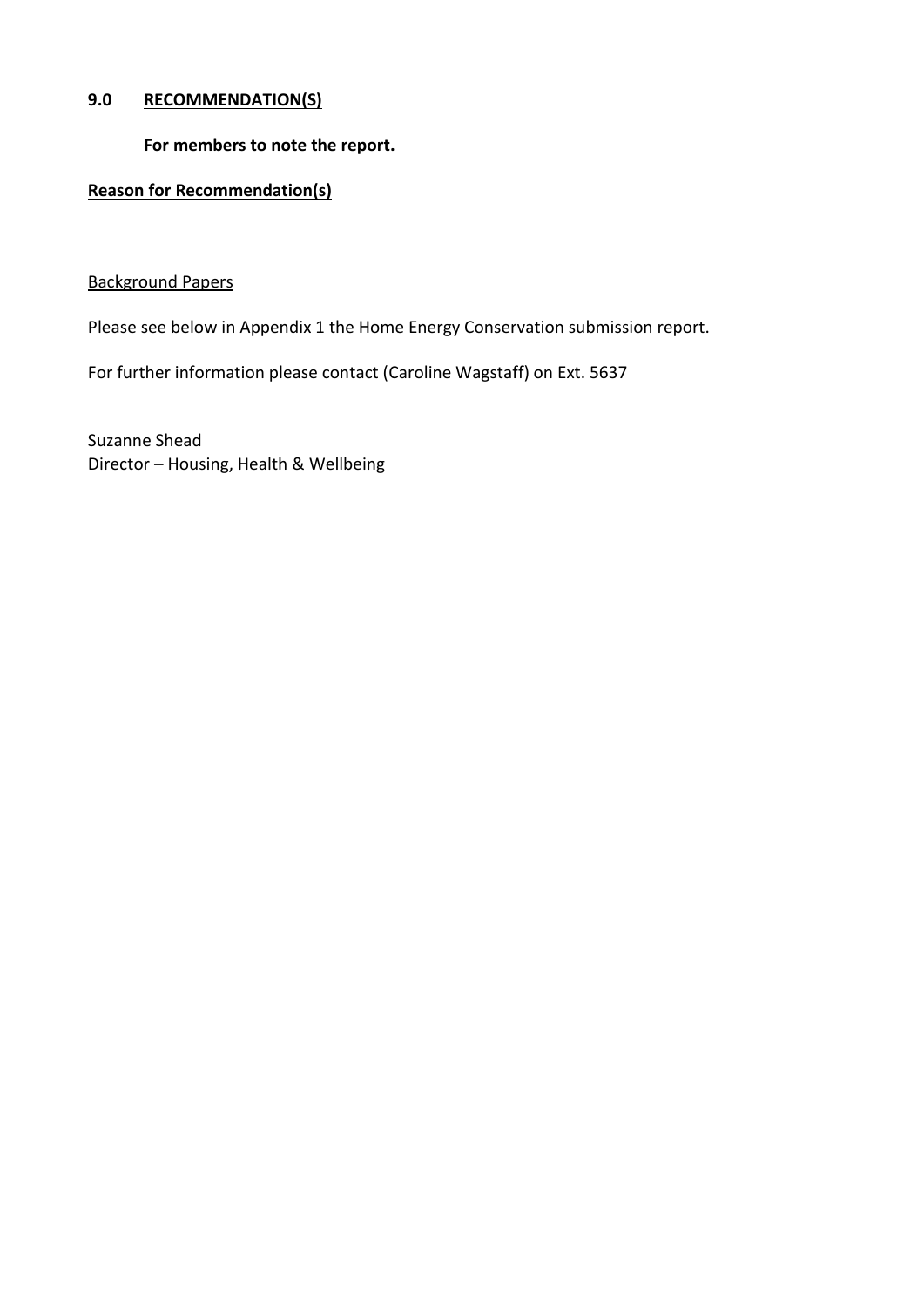### **9.0 RECOMMENDATION(S)**

**For members to note the report.**

# **Reason for Recommendation(s)**

### Background Papers

Please see below in Appendix 1 the Home Energy Conservation submission report.

For further information please contact (Caroline Wagstaff) on Ext. 5637

Suzanne Shead Director – Housing, Health & Wellbeing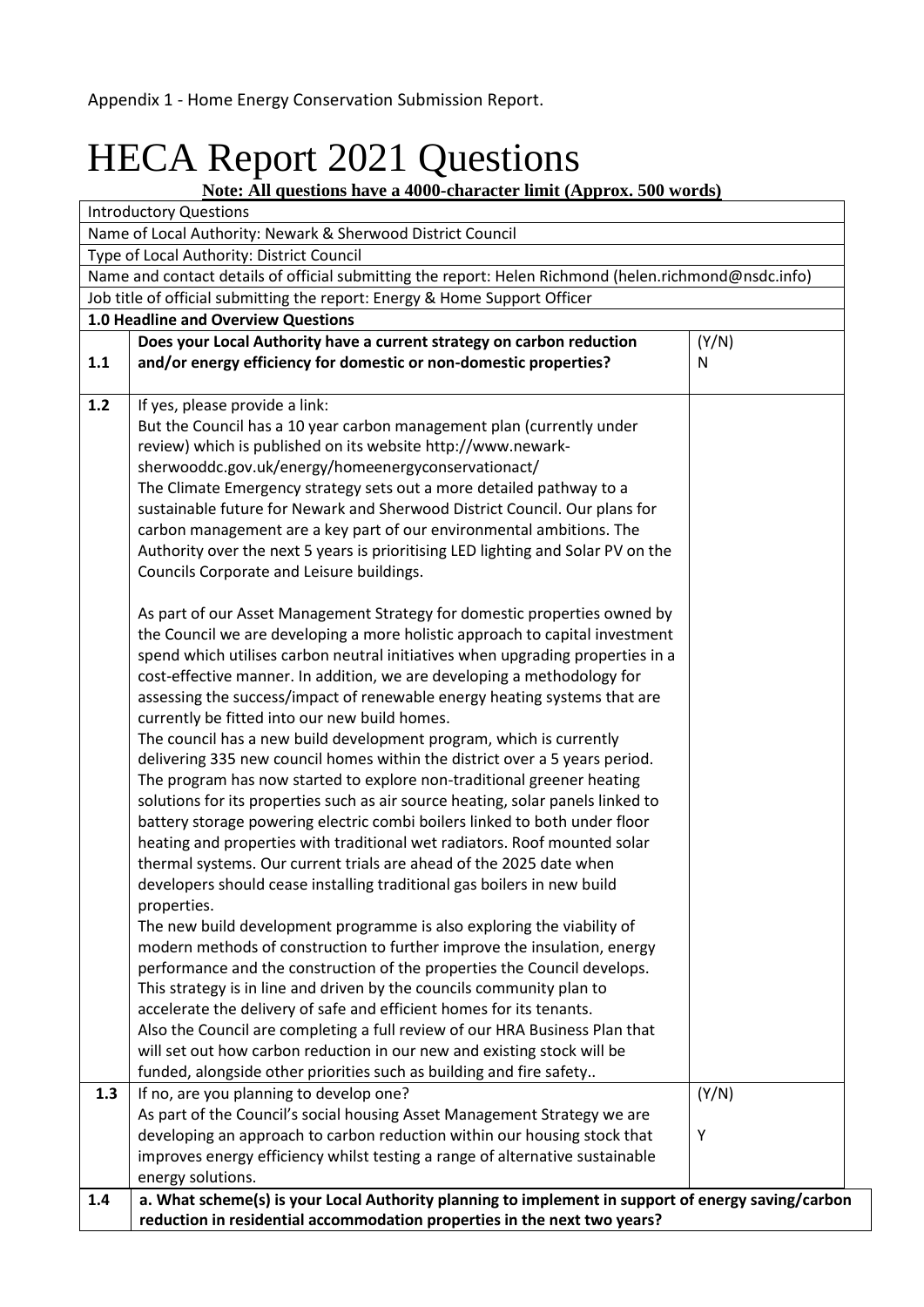# HECA Report 2021 Questions

**Note: All questions have a 4000-character limit (Approx. 500 words)**

|                                           | <b>Introductory Questions</b>                                                                                                                                                                                                                                                                                                                                                                                                                                                                                                                                                                                                                                                                                                                                                                                                                                                                                                                                                                                                                                                                                                                                                                                                                                                                                                                                                                                                                                                                                                                                                                                                                                                                                                                                                                                                                                                                                                                                                                                                                                                                                                                                          |            |
|-------------------------------------------|------------------------------------------------------------------------------------------------------------------------------------------------------------------------------------------------------------------------------------------------------------------------------------------------------------------------------------------------------------------------------------------------------------------------------------------------------------------------------------------------------------------------------------------------------------------------------------------------------------------------------------------------------------------------------------------------------------------------------------------------------------------------------------------------------------------------------------------------------------------------------------------------------------------------------------------------------------------------------------------------------------------------------------------------------------------------------------------------------------------------------------------------------------------------------------------------------------------------------------------------------------------------------------------------------------------------------------------------------------------------------------------------------------------------------------------------------------------------------------------------------------------------------------------------------------------------------------------------------------------------------------------------------------------------------------------------------------------------------------------------------------------------------------------------------------------------------------------------------------------------------------------------------------------------------------------------------------------------------------------------------------------------------------------------------------------------------------------------------------------------------------------------------------------------|------------|
|                                           | Name of Local Authority: Newark & Sherwood District Council                                                                                                                                                                                                                                                                                                                                                                                                                                                                                                                                                                                                                                                                                                                                                                                                                                                                                                                                                                                                                                                                                                                                                                                                                                                                                                                                                                                                                                                                                                                                                                                                                                                                                                                                                                                                                                                                                                                                                                                                                                                                                                            |            |
| Type of Local Authority: District Council |                                                                                                                                                                                                                                                                                                                                                                                                                                                                                                                                                                                                                                                                                                                                                                                                                                                                                                                                                                                                                                                                                                                                                                                                                                                                                                                                                                                                                                                                                                                                                                                                                                                                                                                                                                                                                                                                                                                                                                                                                                                                                                                                                                        |            |
|                                           | Name and contact details of official submitting the report: Helen Richmond (helen.richmond@nsdc.info)                                                                                                                                                                                                                                                                                                                                                                                                                                                                                                                                                                                                                                                                                                                                                                                                                                                                                                                                                                                                                                                                                                                                                                                                                                                                                                                                                                                                                                                                                                                                                                                                                                                                                                                                                                                                                                                                                                                                                                                                                                                                  |            |
|                                           | Job title of official submitting the report: Energy & Home Support Officer                                                                                                                                                                                                                                                                                                                                                                                                                                                                                                                                                                                                                                                                                                                                                                                                                                                                                                                                                                                                                                                                                                                                                                                                                                                                                                                                                                                                                                                                                                                                                                                                                                                                                                                                                                                                                                                                                                                                                                                                                                                                                             |            |
|                                           | 1.0 Headline and Overview Questions                                                                                                                                                                                                                                                                                                                                                                                                                                                                                                                                                                                                                                                                                                                                                                                                                                                                                                                                                                                                                                                                                                                                                                                                                                                                                                                                                                                                                                                                                                                                                                                                                                                                                                                                                                                                                                                                                                                                                                                                                                                                                                                                    |            |
| 1.1                                       | Does your Local Authority have a current strategy on carbon reduction<br>and/or energy efficiency for domestic or non-domestic properties?                                                                                                                                                                                                                                                                                                                                                                                                                                                                                                                                                                                                                                                                                                                                                                                                                                                                                                                                                                                                                                                                                                                                                                                                                                                                                                                                                                                                                                                                                                                                                                                                                                                                                                                                                                                                                                                                                                                                                                                                                             | (Y/N)<br>N |
| 1.2                                       | If yes, please provide a link:<br>But the Council has a 10 year carbon management plan (currently under<br>review) which is published on its website http://www.newark-<br>sherwooddc.gov.uk/energy/homeenergyconservationact/<br>The Climate Emergency strategy sets out a more detailed pathway to a<br>sustainable future for Newark and Sherwood District Council. Our plans for<br>carbon management are a key part of our environmental ambitions. The<br>Authority over the next 5 years is prioritising LED lighting and Solar PV on the<br>Councils Corporate and Leisure buildings.<br>As part of our Asset Management Strategy for domestic properties owned by<br>the Council we are developing a more holistic approach to capital investment<br>spend which utilises carbon neutral initiatives when upgrading properties in a<br>cost-effective manner. In addition, we are developing a methodology for<br>assessing the success/impact of renewable energy heating systems that are<br>currently be fitted into our new build homes.<br>The council has a new build development program, which is currently<br>delivering 335 new council homes within the district over a 5 years period.<br>The program has now started to explore non-traditional greener heating<br>solutions for its properties such as air source heating, solar panels linked to<br>battery storage powering electric combi boilers linked to both under floor<br>heating and properties with traditional wet radiators. Roof mounted solar<br>thermal systems. Our current trials are ahead of the 2025 date when<br>developers should cease installing traditional gas boilers in new build<br>properties.<br>The new build development programme is also exploring the viability of<br>modern methods of construction to further improve the insulation, energy<br>performance and the construction of the properties the Council develops.<br>This strategy is in line and driven by the councils community plan to<br>accelerate the delivery of safe and efficient homes for its tenants.<br>Also the Council are completing a full review of our HRA Business Plan that |            |
|                                           | will set out how carbon reduction in our new and existing stock will be                                                                                                                                                                                                                                                                                                                                                                                                                                                                                                                                                                                                                                                                                                                                                                                                                                                                                                                                                                                                                                                                                                                                                                                                                                                                                                                                                                                                                                                                                                                                                                                                                                                                                                                                                                                                                                                                                                                                                                                                                                                                                                |            |
|                                           | funded, alongside other priorities such as building and fire safety                                                                                                                                                                                                                                                                                                                                                                                                                                                                                                                                                                                                                                                                                                                                                                                                                                                                                                                                                                                                                                                                                                                                                                                                                                                                                                                                                                                                                                                                                                                                                                                                                                                                                                                                                                                                                                                                                                                                                                                                                                                                                                    |            |
| 1.3                                       | If no, are you planning to develop one?                                                                                                                                                                                                                                                                                                                                                                                                                                                                                                                                                                                                                                                                                                                                                                                                                                                                                                                                                                                                                                                                                                                                                                                                                                                                                                                                                                                                                                                                                                                                                                                                                                                                                                                                                                                                                                                                                                                                                                                                                                                                                                                                | (Y/N)      |
|                                           | As part of the Council's social housing Asset Management Strategy we are                                                                                                                                                                                                                                                                                                                                                                                                                                                                                                                                                                                                                                                                                                                                                                                                                                                                                                                                                                                                                                                                                                                                                                                                                                                                                                                                                                                                                                                                                                                                                                                                                                                                                                                                                                                                                                                                                                                                                                                                                                                                                               | Υ          |
|                                           | developing an approach to carbon reduction within our housing stock that                                                                                                                                                                                                                                                                                                                                                                                                                                                                                                                                                                                                                                                                                                                                                                                                                                                                                                                                                                                                                                                                                                                                                                                                                                                                                                                                                                                                                                                                                                                                                                                                                                                                                                                                                                                                                                                                                                                                                                                                                                                                                               |            |
|                                           | improves energy efficiency whilst testing a range of alternative sustainable                                                                                                                                                                                                                                                                                                                                                                                                                                                                                                                                                                                                                                                                                                                                                                                                                                                                                                                                                                                                                                                                                                                                                                                                                                                                                                                                                                                                                                                                                                                                                                                                                                                                                                                                                                                                                                                                                                                                                                                                                                                                                           |            |
|                                           | energy solutions.                                                                                                                                                                                                                                                                                                                                                                                                                                                                                                                                                                                                                                                                                                                                                                                                                                                                                                                                                                                                                                                                                                                                                                                                                                                                                                                                                                                                                                                                                                                                                                                                                                                                                                                                                                                                                                                                                                                                                                                                                                                                                                                                                      |            |
| 1.4                                       | a. What scheme(s) is your Local Authority planning to implement in support of energy saving/carbon<br>reduction in residential accommodation properties in the next two years?                                                                                                                                                                                                                                                                                                                                                                                                                                                                                                                                                                                                                                                                                                                                                                                                                                                                                                                                                                                                                                                                                                                                                                                                                                                                                                                                                                                                                                                                                                                                                                                                                                                                                                                                                                                                                                                                                                                                                                                         |            |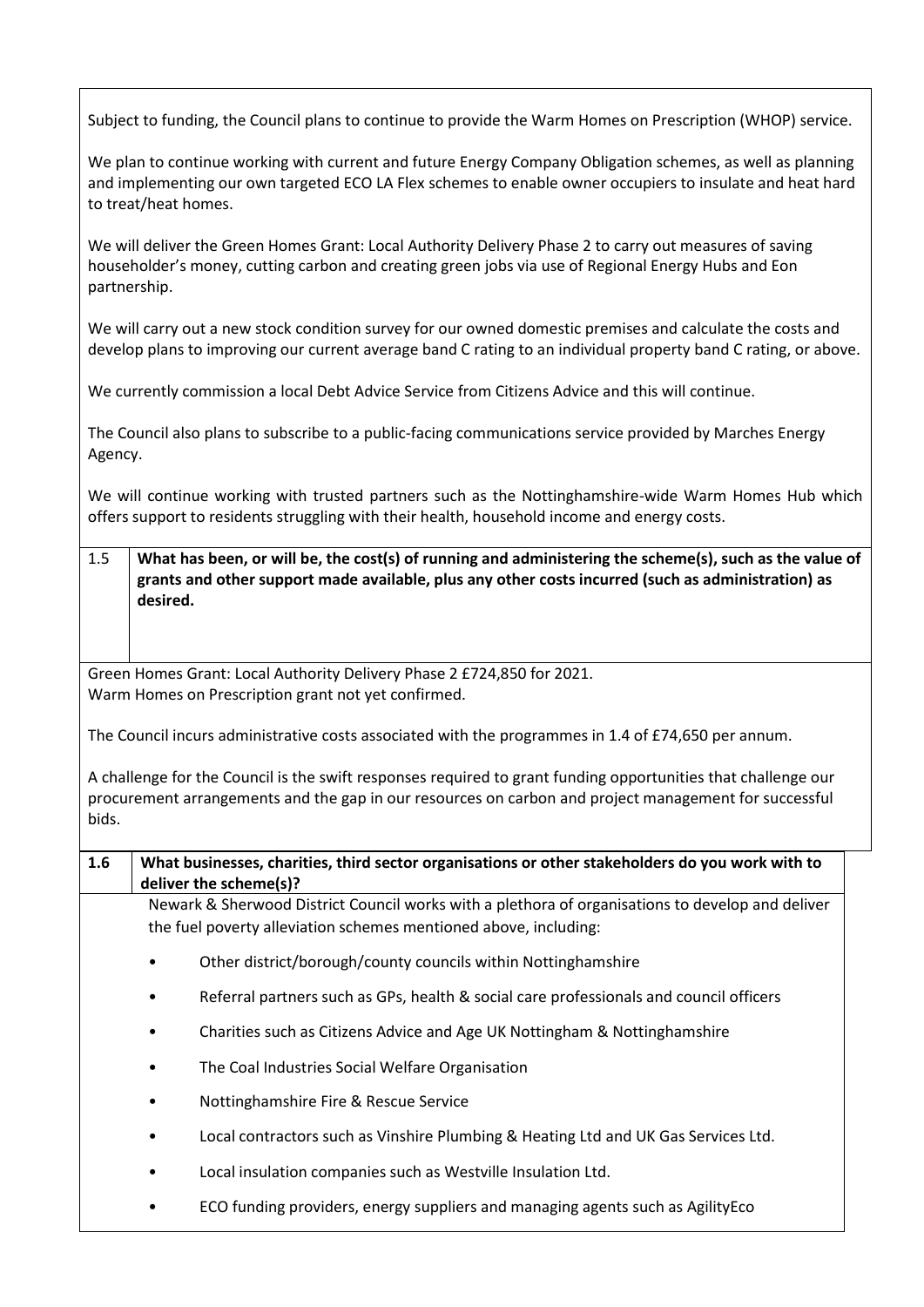Subject to funding, the Council plans to continue to provide the Warm Homes on Prescription (WHOP) service.

We plan to continue working with current and future Energy Company Obligation schemes, as well as planning and implementing our own targeted ECO LA Flex schemes to enable owner occupiers to insulate and heat hard to treat/heat homes.

We will deliver the Green Homes Grant: Local Authority Delivery Phase 2 to carry out measures of saving householder's money, cutting carbon and creating green jobs via use of Regional Energy Hubs and Eon partnership.

We will carry out a new stock condition survey for our owned domestic premises and calculate the costs and develop plans to improving our current average band C rating to an individual property band C rating, or above.

We currently commission a local Debt Advice Service from Citizens Advice and this will continue.

The Council also plans to subscribe to a public-facing communications service provided by Marches Energy Agency.

We will continue working with trusted partners such as the Nottinghamshire-wide Warm Homes Hub which offers support to residents struggling with their health, household income and energy costs.

1.5 **What has been, or will be, the cost(s) of running and administering the scheme(s), such as the value of grants and other support made available, plus any other costs incurred (such as administration) as desired.**

Green Homes Grant: Local Authority Delivery Phase 2 £724,850 for 2021. Warm Homes on Prescription grant not yet confirmed.

The Council incurs administrative costs associated with the programmes in 1.4 of £74,650 per annum.

A challenge for the Council is the swift responses required to grant funding opportunities that challenge our procurement arrangements and the gap in our resources on carbon and project management for successful bids.

**1.6 What businesses, charities, third sector organisations or other stakeholders do you work with to deliver the scheme(s)?**  Newark & Sherwood District Council works with a plethora of organisations to develop and deliver

the fuel poverty alleviation schemes mentioned above, including:

- Other district/borough/county councils within Nottinghamshire
- Referral partners such as GPs, health & social care professionals and council officers
- Charities such as Citizens Advice and Age UK Nottingham & Nottinghamshire
- The Coal Industries Social Welfare Organisation
- Nottinghamshire Fire & Rescue Service
- Local contractors such as Vinshire Plumbing & Heating Ltd and UK Gas Services Ltd.
- Local insulation companies such as Westville Insulation Ltd.
- ECO funding providers, energy suppliers and managing agents such as AgilityEco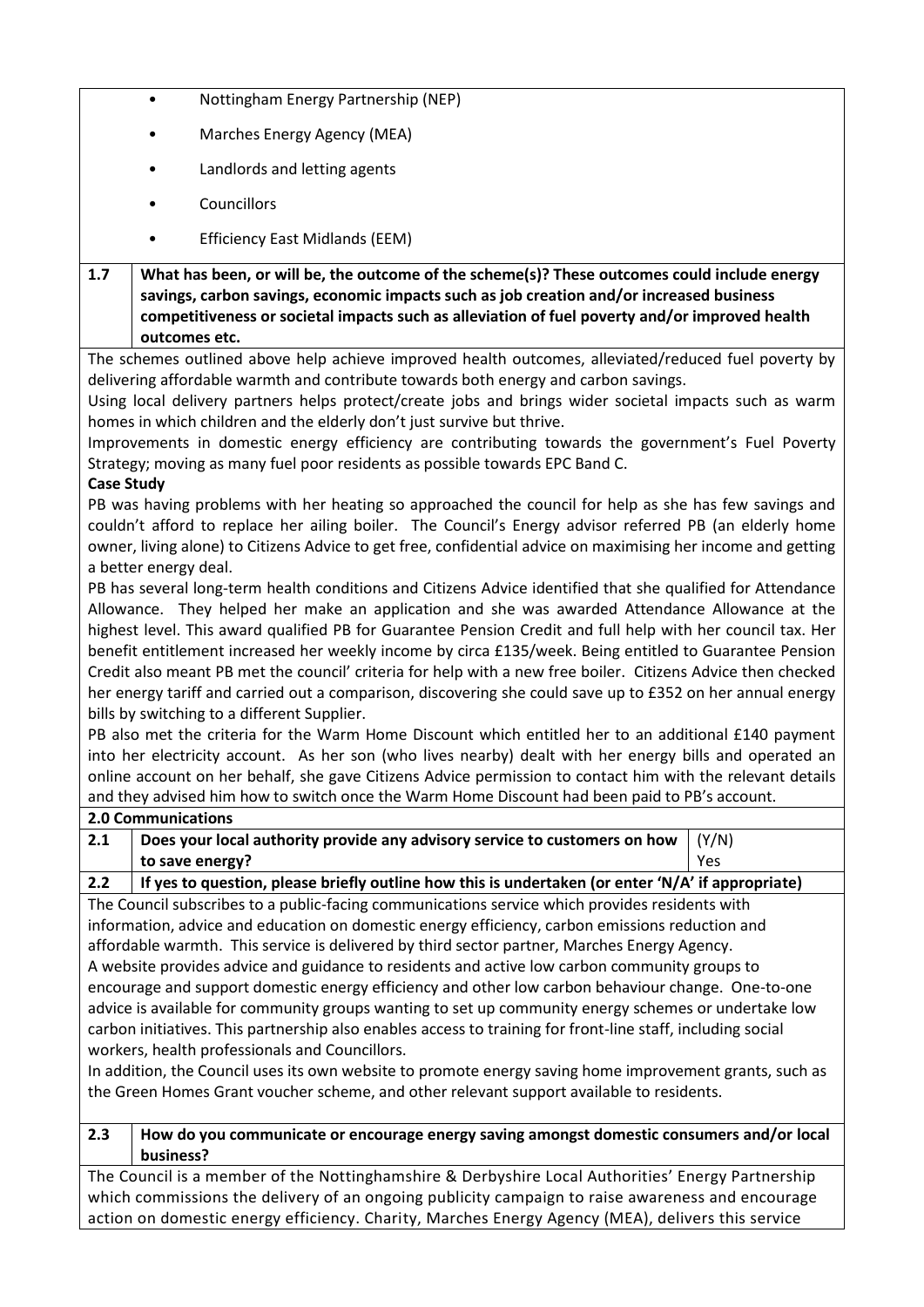- Nottingham Energy Partnership (NEP)
- Marches Energy Agency (MEA)
- Landlords and letting agents
- **Councillors**
- Efficiency East Midlands (EEM)

**1.7 What has been, or will be, the outcome of the scheme(s)? These outcomes could include energy savings, carbon savings, economic impacts such as job creation and/or increased business competitiveness or societal impacts such as alleviation of fuel poverty and/or improved health outcomes etc.**

The schemes outlined above help achieve improved health outcomes, alleviated/reduced fuel poverty by delivering affordable warmth and contribute towards both energy and carbon savings.

Using local delivery partners helps protect/create jobs and brings wider societal impacts such as warm homes in which children and the elderly don't just survive but thrive.

Improvements in domestic energy efficiency are contributing towards the government's Fuel Poverty Strategy; moving as many fuel poor residents as possible towards EPC Band C.

### **Case Study**

PB was having problems with her heating so approached the council for help as she has few savings and couldn't afford to replace her ailing boiler. The Council's Energy advisor referred PB (an elderly home owner, living alone) to Citizens Advice to get free, confidential advice on maximising her income and getting a better energy deal.

PB has several long-term health conditions and Citizens Advice identified that she qualified for Attendance Allowance. They helped her make an application and she was awarded Attendance Allowance at the highest level. This award qualified PB for Guarantee Pension Credit and full help with her council tax. Her benefit entitlement increased her weekly income by circa £135/week. Being entitled to Guarantee Pension Credit also meant PB met the council' criteria for help with a new free boiler. Citizens Advice then checked her energy tariff and carried out a comparison, discovering she could save up to £352 on her annual energy bills by switching to a different Supplier.

PB also met the criteria for the Warm Home Discount which entitled her to an additional £140 payment into her electricity account. As her son (who lives nearby) dealt with her energy bills and operated an online account on her behalf, she gave Citizens Advice permission to contact him with the relevant details and they advised him how to switch once the Warm Home Discount had been paid to PB's account.

|                                                                                                      | <b>2.0 Communications</b>                                                                         |       |
|------------------------------------------------------------------------------------------------------|---------------------------------------------------------------------------------------------------|-------|
| 2.1                                                                                                  | Does your local authority provide any advisory service to customers on how                        | (Y/N) |
|                                                                                                      | to save energy?                                                                                   | Yes   |
| 2.2                                                                                                  | If yes to question, please briefly outline how this is undertaken (or enter 'N/A' if appropriate) |       |
| The Council subscribes to a public-facing communications service which provides residents with       |                                                                                                   |       |
| information, advice and education on domestic energy efficiency, carbon emissions reduction and      |                                                                                                   |       |
| affordable warmth. This service is delivered by third sector partner, Marches Energy Agency.         |                                                                                                   |       |
| A website provides advice and guidance to residents and active low carbon community groups to        |                                                                                                   |       |
| encourage and support domestic energy efficiency and other low carbon behaviour change. One-to-one   |                                                                                                   |       |
| advice is available for community groups wanting to set up community energy schemes or undertake low |                                                                                                   |       |

carbon initiatives. This partnership also enables access to training for front-line staff, including social workers, health professionals and Councillors.

In addition, the Council uses its own website to promote energy saving home improvement grants, such as the Green Homes Grant voucher scheme, and other relevant support available to residents.

#### **2.3 How do you communicate or encourage energy saving amongst domestic consumers and/or local business?**

The Council is a member of the Nottinghamshire & Derbyshire Local Authorities' Energy Partnership which commissions the delivery of an ongoing publicity campaign to raise awareness and encourage action on domestic energy efficiency. Charity, Marches Energy Agency (MEA), delivers this service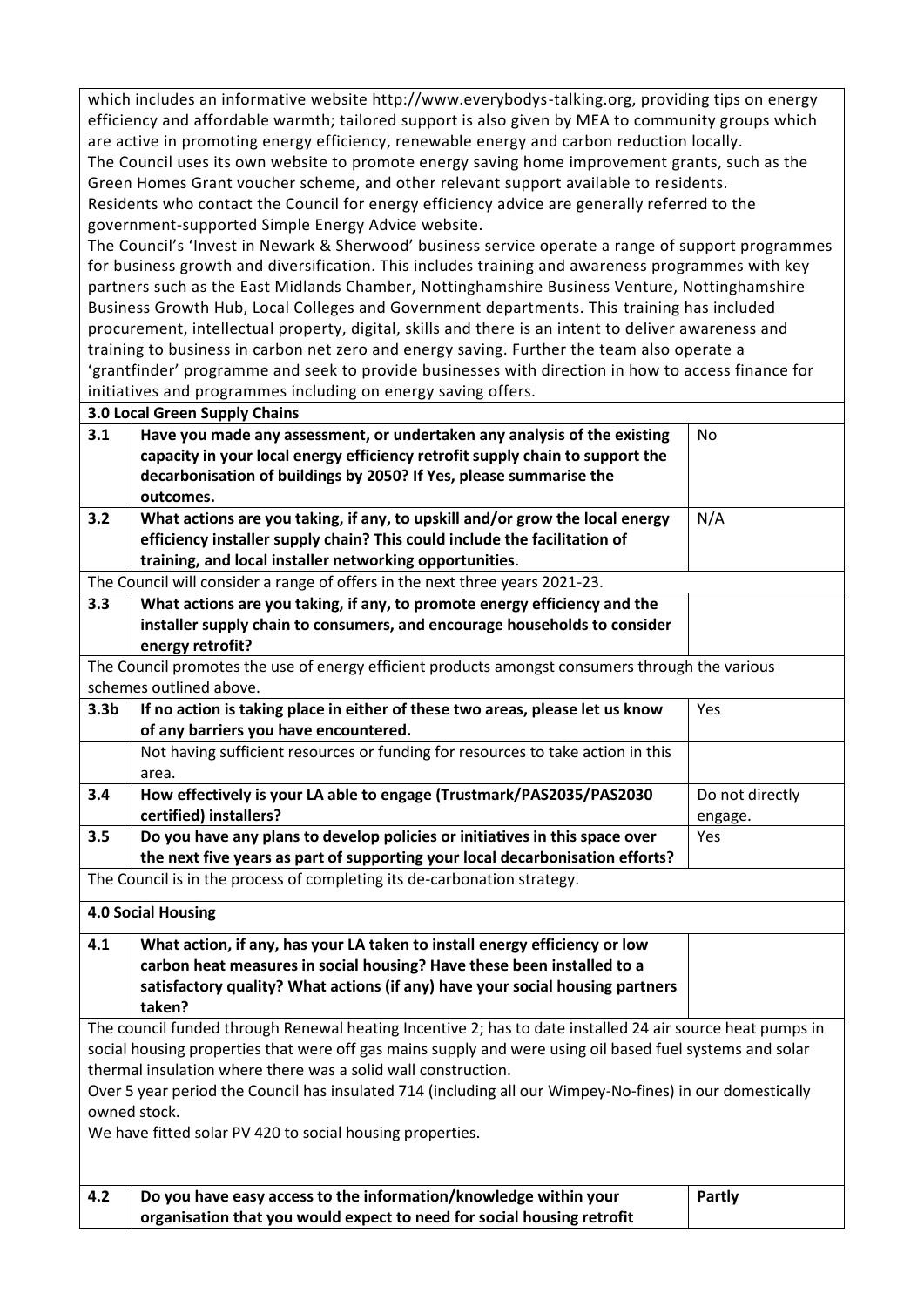which includes an informative website http://www.everybodys-talking.org, providing tips on energy efficiency and affordable warmth; tailored support is also given by MEA to community groups which are active in promoting energy efficiency, renewable energy and carbon reduction locally. The Council uses its own website to promote energy saving home improvement grants, such as the Green Homes Grant voucher scheme, and other relevant support available to residents. Residents who contact the Council for energy efficiency advice are generally referred to the government-supported Simple Energy Advice website. The Council's 'Invest in Newark & Sherwood' business service operate a range of support programmes for business growth and diversification. This includes training and awareness programmes with key partners such as the East Midlands Chamber, Nottinghamshire Business Venture, Nottinghamshire Business Growth Hub, Local Colleges and Government departments. This training has included procurement, intellectual property, digital, skills and there is an intent to deliver awareness and training to business in carbon net zero and energy saving. Further the team also operate a 'grantfinder' programme and seek to provide businesses with direction in how to access finance for initiatives and programmes including on energy saving offers. **3.0 Local Green Supply Chains 3.1 Have you made any assessment, or undertaken any analysis of the existing capacity in your local energy efficiency retrofit supply chain to support the decarbonisation of buildings by 2050? If Yes, please summarise the outcomes.** No **3.2 What actions are you taking, if any, to upskill and/or grow the local energy efficiency installer supply chain? This could include the facilitation of training, and local installer networking opportunities**. N/A The Council will consider a range of offers in the next three years 2021-23. **3.3 What actions are you taking, if any, to promote energy efficiency and the installer supply chain to consumers, and encourage households to consider energy retrofit?** The Council promotes the use of energy efficient products amongst consumers through the various schemes outlined above. **3.3b If no action is taking place in either of these two areas, please let us know of any barriers you have encountered.** Yes Not having sufficient resources or funding for resources to take action in this area. **3.4 How effectively is your LA able to engage (Trustmark/PAS2035/PAS2030 certified) installers?** Do not directly engage. **3.5 Do you have any plans to develop policies or initiatives in this space over the next five years as part of supporting your local decarbonisation efforts?** Yes The Council is in the process of completing its de-carbonation strategy. **4.0 Social Housing 4.1 What action, if any, has your LA taken to install energy efficiency or low carbon heat measures in social housing? Have these been installed to a satisfactory quality? What actions (if any) have your social housing partners taken?** The council funded through Renewal heating Incentive 2; has to date installed 24 air source heat pumps in social housing properties that were off gas mains supply and were using oil based fuel systems and solar thermal insulation where there was a solid wall construction. Over 5 year period the Council has insulated 714 (including all our Wimpey-No-fines) in our domestically owned stock. We have fitted solar PV 420 to social housing properties. **4.2 Do you have easy access to the information/knowledge within your organisation that you would expect to need for social housing retrofit Partly**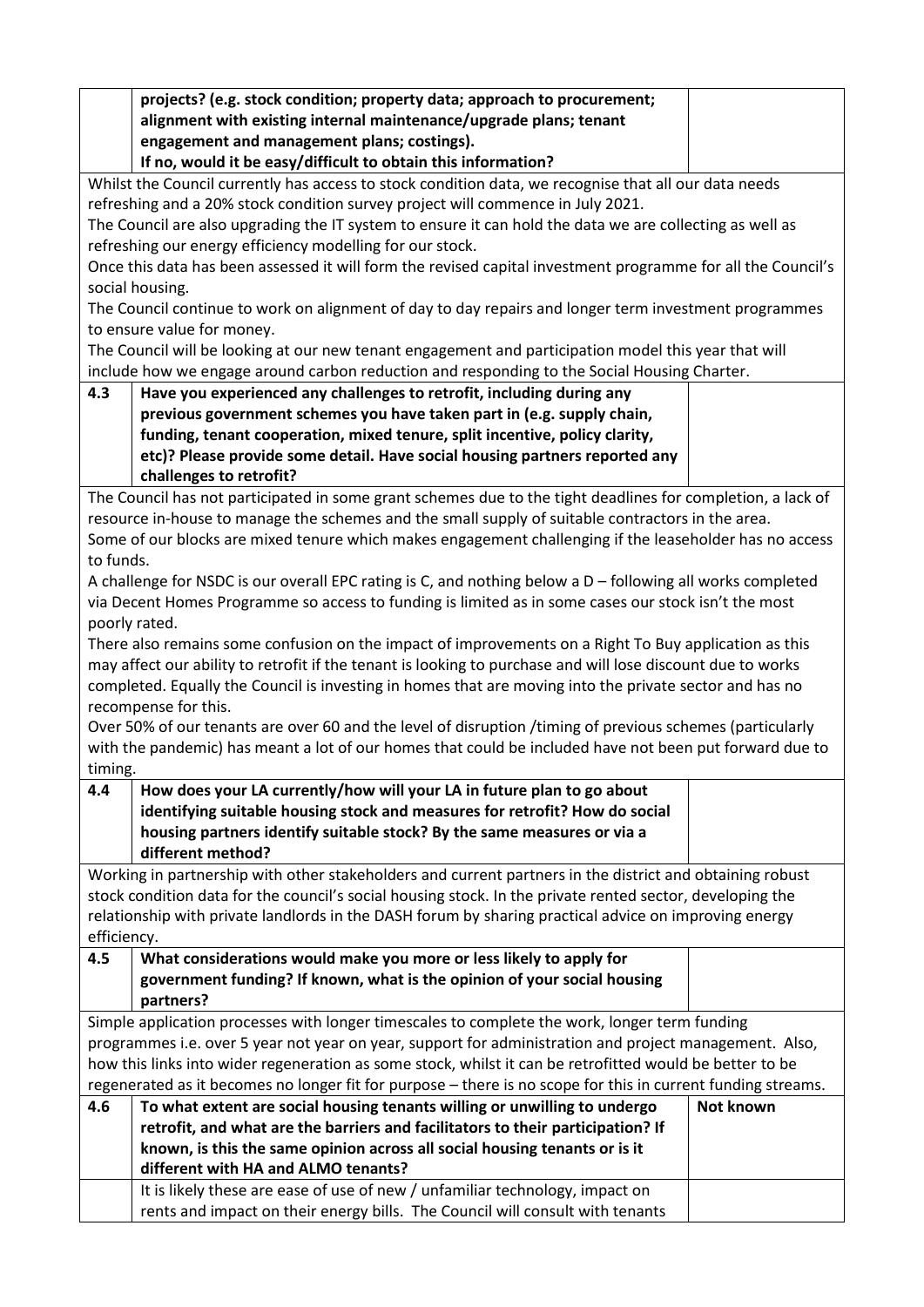|                                                                                                              | projects? (e.g. stock condition; property data; approach to procurement;<br>alignment with existing internal maintenance/upgrade plans; tenant                                           |           |  |
|--------------------------------------------------------------------------------------------------------------|------------------------------------------------------------------------------------------------------------------------------------------------------------------------------------------|-----------|--|
|                                                                                                              | engagement and management plans; costings).                                                                                                                                              |           |  |
|                                                                                                              | If no, would it be easy/difficult to obtain this information?                                                                                                                            |           |  |
|                                                                                                              | Whilst the Council currently has access to stock condition data, we recognise that all our data needs<br>refreshing and a 20% stock condition survey project will commence in July 2021. |           |  |
|                                                                                                              | The Council are also upgrading the IT system to ensure it can hold the data we are collecting as well as                                                                                 |           |  |
|                                                                                                              | refreshing our energy efficiency modelling for our stock.                                                                                                                                |           |  |
|                                                                                                              | Once this data has been assessed it will form the revised capital investment programme for all the Council's                                                                             |           |  |
|                                                                                                              | social housing.                                                                                                                                                                          |           |  |
|                                                                                                              | The Council continue to work on alignment of day to day repairs and longer term investment programmes                                                                                    |           |  |
|                                                                                                              | to ensure value for money.                                                                                                                                                               |           |  |
|                                                                                                              | The Council will be looking at our new tenant engagement and participation model this year that will                                                                                     |           |  |
|                                                                                                              | include how we engage around carbon reduction and responding to the Social Housing Charter.                                                                                              |           |  |
| 4.3                                                                                                          | Have you experienced any challenges to retrofit, including during any                                                                                                                    |           |  |
|                                                                                                              | previous government schemes you have taken part in (e.g. supply chain,                                                                                                                   |           |  |
|                                                                                                              | funding, tenant cooperation, mixed tenure, split incentive, policy clarity,                                                                                                              |           |  |
|                                                                                                              | etc)? Please provide some detail. Have social housing partners reported any                                                                                                              |           |  |
|                                                                                                              | challenges to retrofit?                                                                                                                                                                  |           |  |
|                                                                                                              | The Council has not participated in some grant schemes due to the tight deadlines for completion, a lack of                                                                              |           |  |
|                                                                                                              | resource in-house to manage the schemes and the small supply of suitable contractors in the area.                                                                                        |           |  |
|                                                                                                              | Some of our blocks are mixed tenure which makes engagement challenging if the leaseholder has no access                                                                                  |           |  |
| to funds.                                                                                                    |                                                                                                                                                                                          |           |  |
|                                                                                                              | A challenge for NSDC is our overall EPC rating is C, and nothing below a D - following all works completed                                                                               |           |  |
|                                                                                                              | via Decent Homes Programme so access to funding is limited as in some cases our stock isn't the most                                                                                     |           |  |
|                                                                                                              | poorly rated.                                                                                                                                                                            |           |  |
|                                                                                                              | There also remains some confusion on the impact of improvements on a Right To Buy application as this                                                                                    |           |  |
|                                                                                                              | may affect our ability to retrofit if the tenant is looking to purchase and will lose discount due to works                                                                              |           |  |
|                                                                                                              | completed. Equally the Council is investing in homes that are moving into the private sector and has no                                                                                  |           |  |
|                                                                                                              | recompense for this.                                                                                                                                                                     |           |  |
|                                                                                                              | Over 50% of our tenants are over 60 and the level of disruption /timing of previous schemes (particularly                                                                                |           |  |
|                                                                                                              | with the pandemic) has meant a lot of our homes that could be included have not been put forward due to                                                                                  |           |  |
| timing.                                                                                                      |                                                                                                                                                                                          |           |  |
| 4.4                                                                                                          | How does your LA currently/how will your LA in future plan to go about                                                                                                                   |           |  |
|                                                                                                              | identifying suitable housing stock and measures for retrofit? How do social                                                                                                              |           |  |
|                                                                                                              | housing partners identify suitable stock? By the same measures or via a                                                                                                                  |           |  |
|                                                                                                              | different method?                                                                                                                                                                        |           |  |
|                                                                                                              | Working in partnership with other stakeholders and current partners in the district and obtaining robust                                                                                 |           |  |
|                                                                                                              | stock condition data for the council's social housing stock. In the private rented sector, developing the                                                                                |           |  |
|                                                                                                              | relationship with private landlords in the DASH forum by sharing practical advice on improving energy                                                                                    |           |  |
| efficiency.                                                                                                  |                                                                                                                                                                                          |           |  |
| 4.5                                                                                                          | What considerations would make you more or less likely to apply for                                                                                                                      |           |  |
|                                                                                                              | government funding? If known, what is the opinion of your social housing                                                                                                                 |           |  |
|                                                                                                              | partners?                                                                                                                                                                                |           |  |
|                                                                                                              | Simple application processes with longer timescales to complete the work, longer term funding                                                                                            |           |  |
|                                                                                                              | programmes i.e. over 5 year not year on year, support for administration and project management. Also,                                                                                   |           |  |
| how this links into wider regeneration as some stock, whilst it can be retrofitted would be better to be     |                                                                                                                                                                                          |           |  |
| regenerated as it becomes no longer fit for purpose - there is no scope for this in current funding streams. |                                                                                                                                                                                          |           |  |
| 4.6                                                                                                          | To what extent are social housing tenants willing or unwilling to undergo                                                                                                                | Not known |  |
|                                                                                                              | retrofit, and what are the barriers and facilitators to their participation? If                                                                                                          |           |  |
|                                                                                                              | known, is this the same opinion across all social housing tenants or is it                                                                                                               |           |  |
|                                                                                                              | different with HA and ALMO tenants?                                                                                                                                                      |           |  |
|                                                                                                              | It is likely these are ease of use of new / unfamiliar technology, impact on                                                                                                             |           |  |
|                                                                                                              | rents and impact on their energy bills. The Council will consult with tenants                                                                                                            |           |  |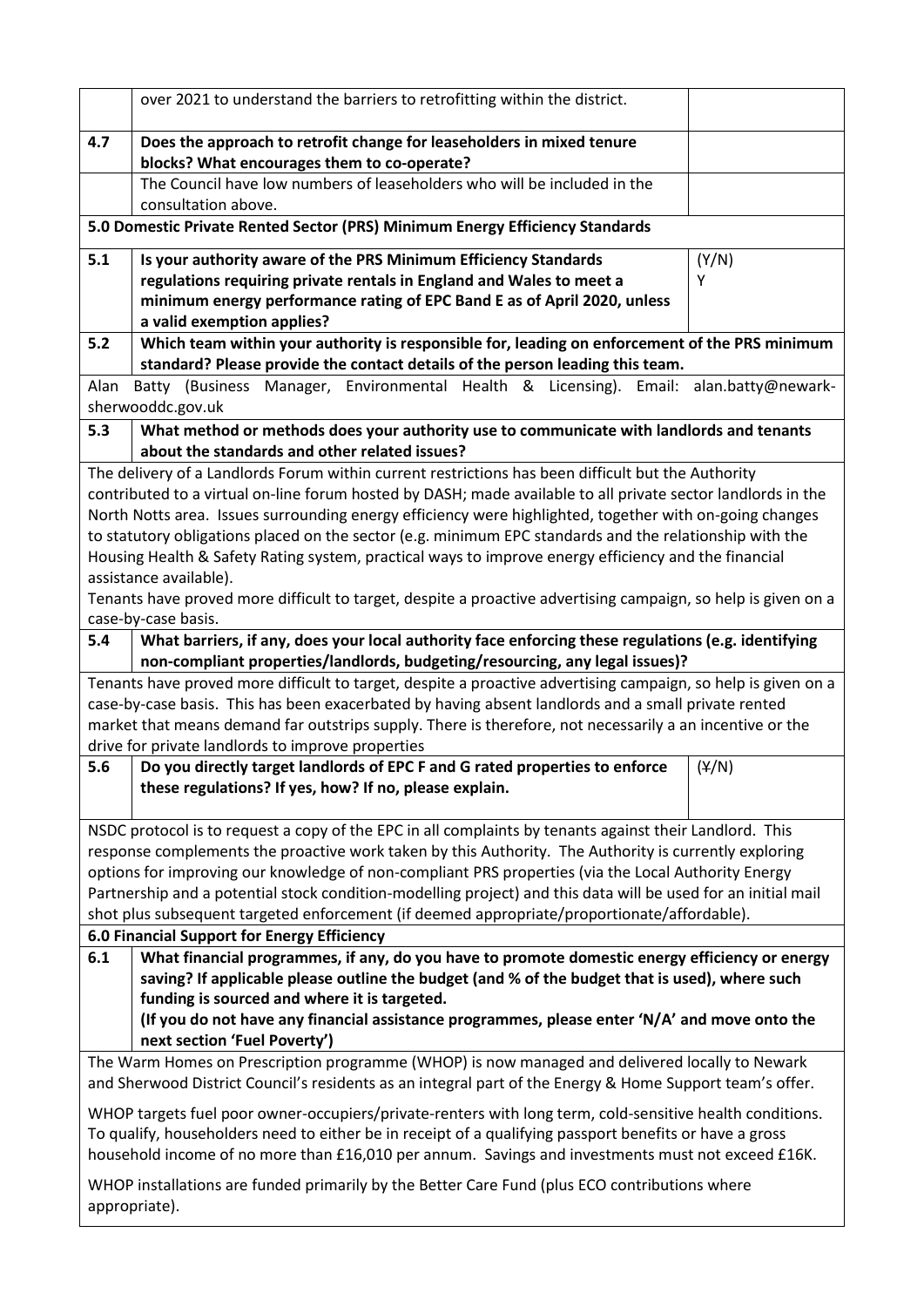|                                                                                                                                                                                                            | over 2021 to understand the barriers to retrofitting within the district.                                                                                                                                               |       |
|------------------------------------------------------------------------------------------------------------------------------------------------------------------------------------------------------------|-------------------------------------------------------------------------------------------------------------------------------------------------------------------------------------------------------------------------|-------|
| 4.7                                                                                                                                                                                                        | Does the approach to retrofit change for leaseholders in mixed tenure<br>blocks? What encourages them to co-operate?                                                                                                    |       |
|                                                                                                                                                                                                            | The Council have low numbers of leaseholders who will be included in the                                                                                                                                                |       |
|                                                                                                                                                                                                            | consultation above.                                                                                                                                                                                                     |       |
|                                                                                                                                                                                                            | 5.0 Domestic Private Rented Sector (PRS) Minimum Energy Efficiency Standards                                                                                                                                            |       |
| 5.1                                                                                                                                                                                                        | Is your authority aware of the PRS Minimum Efficiency Standards                                                                                                                                                         | (Y/N) |
|                                                                                                                                                                                                            | regulations requiring private rentals in England and Wales to meet a                                                                                                                                                    | Υ     |
|                                                                                                                                                                                                            | minimum energy performance rating of EPC Band E as of April 2020, unless                                                                                                                                                |       |
|                                                                                                                                                                                                            | a valid exemption applies?                                                                                                                                                                                              |       |
| 5.2                                                                                                                                                                                                        | Which team within your authority is responsible for, leading on enforcement of the PRS minimum                                                                                                                          |       |
|                                                                                                                                                                                                            | standard? Please provide the contact details of the person leading this team.                                                                                                                                           |       |
| Alan                                                                                                                                                                                                       | Batty (Business Manager, Environmental Health & Licensing). Email: alan.batty@newark-                                                                                                                                   |       |
|                                                                                                                                                                                                            | sherwooddc.gov.uk                                                                                                                                                                                                       |       |
| 5.3                                                                                                                                                                                                        | What method or methods does your authority use to communicate with landlords and tenants                                                                                                                                |       |
|                                                                                                                                                                                                            | about the standards and other related issues?                                                                                                                                                                           |       |
|                                                                                                                                                                                                            | The delivery of a Landlords Forum within current restrictions has been difficult but the Authority                                                                                                                      |       |
|                                                                                                                                                                                                            | contributed to a virtual on-line forum hosted by DASH; made available to all private sector landlords in the<br>North Notts area. Issues surrounding energy efficiency were highlighted, together with on-going changes |       |
|                                                                                                                                                                                                            | to statutory obligations placed on the sector (e.g. minimum EPC standards and the relationship with the                                                                                                                 |       |
|                                                                                                                                                                                                            | Housing Health & Safety Rating system, practical ways to improve energy efficiency and the financial                                                                                                                    |       |
|                                                                                                                                                                                                            | assistance available).                                                                                                                                                                                                  |       |
|                                                                                                                                                                                                            | Tenants have proved more difficult to target, despite a proactive advertising campaign, so help is given on a                                                                                                           |       |
|                                                                                                                                                                                                            | case-by-case basis.                                                                                                                                                                                                     |       |
| 5.4                                                                                                                                                                                                        | What barriers, if any, does your local authority face enforcing these regulations (e.g. identifying                                                                                                                     |       |
|                                                                                                                                                                                                            | non-compliant properties/landlords, budgeting/resourcing, any legal issues)?                                                                                                                                            |       |
|                                                                                                                                                                                                            | Tenants have proved more difficult to target, despite a proactive advertising campaign, so help is given on a                                                                                                           |       |
| case-by-case basis. This has been exacerbated by having absent landlords and a small private rented                                                                                                        |                                                                                                                                                                                                                         |       |
| market that means demand far outstrips supply. There is therefore, not necessarily a an incentive or the                                                                                                   |                                                                                                                                                                                                                         |       |
|                                                                                                                                                                                                            | drive for private landlords to improve properties                                                                                                                                                                       |       |
| 5.6                                                                                                                                                                                                        | Do you directly target landlords of EPC F and G rated properties to enforce                                                                                                                                             | (Y/N) |
|                                                                                                                                                                                                            | these regulations? If yes, how? If no, please explain.                                                                                                                                                                  |       |
|                                                                                                                                                                                                            | NSDC protocol is to request a copy of the EPC in all complaints by tenants against their Landlord. This                                                                                                                 |       |
|                                                                                                                                                                                                            | response complements the proactive work taken by this Authority. The Authority is currently exploring                                                                                                                   |       |
|                                                                                                                                                                                                            | options for improving our knowledge of non-compliant PRS properties (via the Local Authority Energy                                                                                                                     |       |
|                                                                                                                                                                                                            | Partnership and a potential stock condition-modelling project) and this data will be used for an initial mail                                                                                                           |       |
|                                                                                                                                                                                                            | shot plus subsequent targeted enforcement (if deemed appropriate/proportionate/affordable).                                                                                                                             |       |
|                                                                                                                                                                                                            | 6.0 Financial Support for Energy Efficiency                                                                                                                                                                             |       |
| 6.1                                                                                                                                                                                                        | What financial programmes, if any, do you have to promote domestic energy efficiency or energy                                                                                                                          |       |
|                                                                                                                                                                                                            | saving? If applicable please outline the budget (and % of the budget that is used), where such                                                                                                                          |       |
|                                                                                                                                                                                                            | funding is sourced and where it is targeted.                                                                                                                                                                            |       |
|                                                                                                                                                                                                            | (If you do not have any financial assistance programmes, please enter 'N/A' and move onto the<br>next section 'Fuel Poverty')                                                                                           |       |
|                                                                                                                                                                                                            |                                                                                                                                                                                                                         |       |
| The Warm Homes on Prescription programme (WHOP) is now managed and delivered locally to Newark<br>and Sherwood District Council's residents as an integral part of the Energy & Home Support team's offer. |                                                                                                                                                                                                                         |       |
| WHOP targets fuel poor owner-occupiers/private-renters with long term, cold-sensitive health conditions.                                                                                                   |                                                                                                                                                                                                                         |       |
| To qualify, householders need to either be in receipt of a qualifying passport benefits or have a gross                                                                                                    |                                                                                                                                                                                                                         |       |
| household income of no more than £16,010 per annum. Savings and investments must not exceed £16K.                                                                                                          |                                                                                                                                                                                                                         |       |
| WHOP installations are funded primarily by the Better Care Fund (plus ECO contributions where                                                                                                              |                                                                                                                                                                                                                         |       |
|                                                                                                                                                                                                            |                                                                                                                                                                                                                         |       |
|                                                                                                                                                                                                            | appropriate).                                                                                                                                                                                                           |       |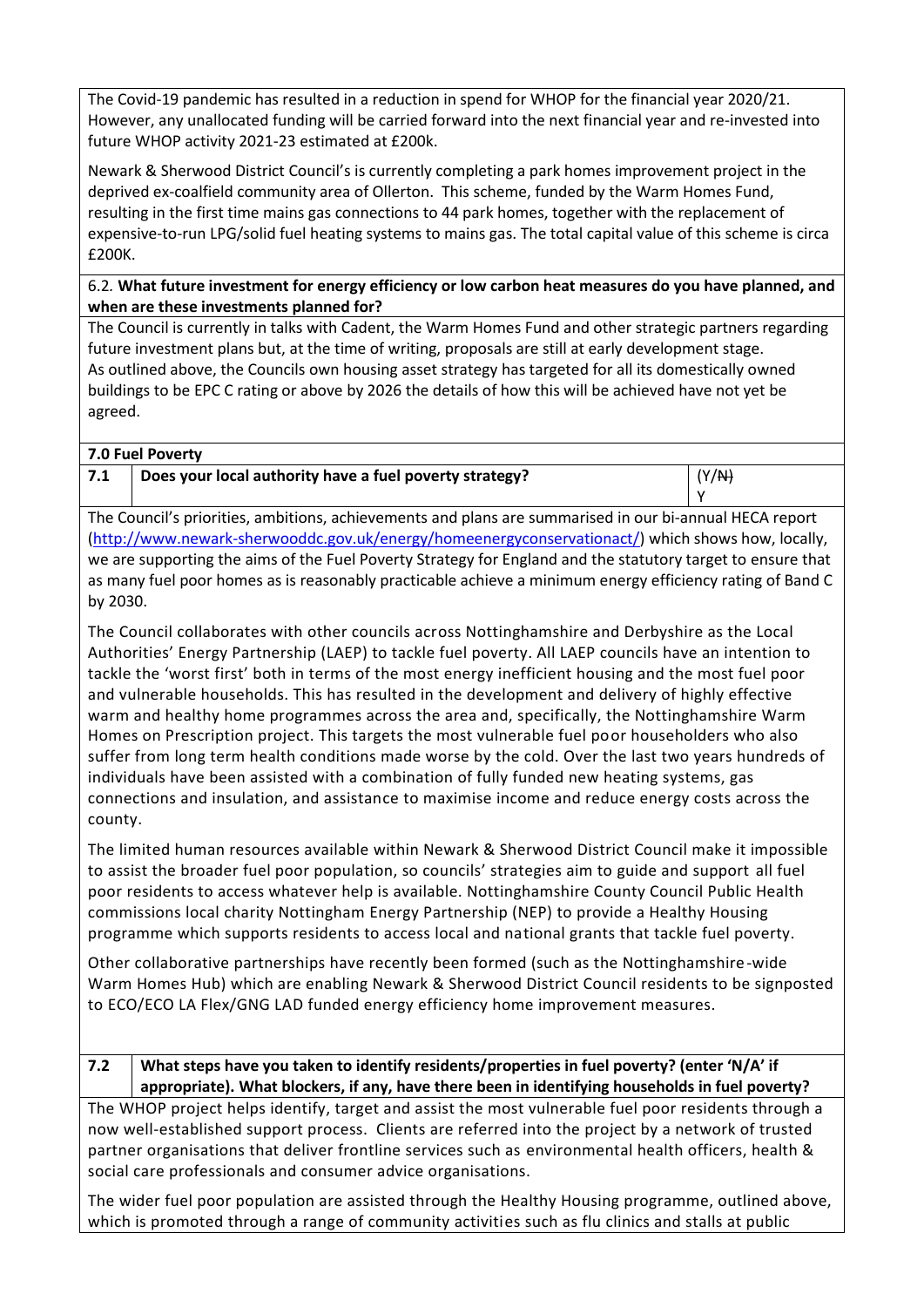The Covid-19 pandemic has resulted in a reduction in spend for WHOP for the financial year 2020/21. However, any unallocated funding will be carried forward into the next financial year and re-invested into future WHOP activity 2021-23 estimated at £200k.

Newark & Sherwood District Council's is currently completing a park homes improvement project in the deprived ex-coalfield community area of Ollerton. This scheme, funded by the Warm Homes Fund, resulting in the first time mains gas connections to 44 park homes, together with the replacement of expensive-to-run LPG/solid fuel heating systems to mains gas. The total capital value of this scheme is circa £200K.

### 6.2*.* **What future investment for energy efficiency or low carbon heat measures do you have planned, and when are these investments planned for?**

The Council is currently in talks with Cadent, the Warm Homes Fund and other strategic partners regarding future investment plans but, at the time of writing, proposals are still at early development stage. As outlined above, the Councils own housing asset strategy has targeted for all its domestically owned buildings to be EPC C rating or above by 2026 the details of how this will be achieved have not yet be agreed.

| 7.0 Fuel Poverty |                                                         |       |
|------------------|---------------------------------------------------------|-------|
| 7.1              | Does your local authority have a fuel poverty strategy? | (Y/N) |

Y

The Council's priorities, ambitions, achievements and plans are summarised in our bi-annual HECA report [\(http://www.newark-sherwooddc.gov.uk/energy/homeenergyconservationact/\)](http://www.newark-sherwooddc.gov.uk/energy/homeenergyconservationact/) which shows how, locally, we are supporting the aims of the Fuel Poverty Strategy for England and the statutory target to ensure that as many fuel poor homes as is reasonably practicable achieve a minimum energy efficiency rating of Band C by 2030.

The Council collaborates with other councils across Nottinghamshire and Derbyshire as the Local Authorities' Energy Partnership (LAEP) to tackle fuel poverty. All LAEP councils have an intention to tackle the 'worst first' both in terms of the most energy inefficient housing and the most fuel poor and vulnerable households. This has resulted in the development and delivery of highly effective warm and healthy home programmes across the area and, specifically, the Nottinghamshire Warm Homes on Prescription project. This targets the most vulnerable fuel poor householders who also suffer from long term health conditions made worse by the cold. Over the last two years hundreds of individuals have been assisted with a combination of fully funded new heating systems, gas connections and insulation, and assistance to maximise income and reduce energy costs across the county.

The limited human resources available within Newark & Sherwood District Council make it impossible to assist the broader fuel poor population, so councils' strategies aim to guide and support all fuel poor residents to access whatever help is available. Nottinghamshire County Council Public Health commissions local charity Nottingham Energy Partnership (NEP) to provide a Healthy Housing programme which supports residents to access local and national grants that tackle fuel poverty.

Other collaborative partnerships have recently been formed (such as the Nottinghamshire-wide Warm Homes Hub) which are enabling Newark & Sherwood District Council residents to be signposted to ECO/ECO LA Flex/GNG LAD funded energy efficiency home improvement measures.

### **7.2 What steps have you taken to identify residents/properties in fuel poverty? (enter 'N/A' if appropriate). What blockers, if any, have there been in identifying households in fuel poverty?**

The WHOP project helps identify, target and assist the most vulnerable fuel poor residents through a now well-established support process. Clients are referred into the project by a network of trusted partner organisations that deliver frontline services such as environmental health officers, health & social care professionals and consumer advice organisations.

The wider fuel poor population are assisted through the Healthy Housing programme, outlined above, which is promoted through a range of community activities such as flu clinics and stalls at public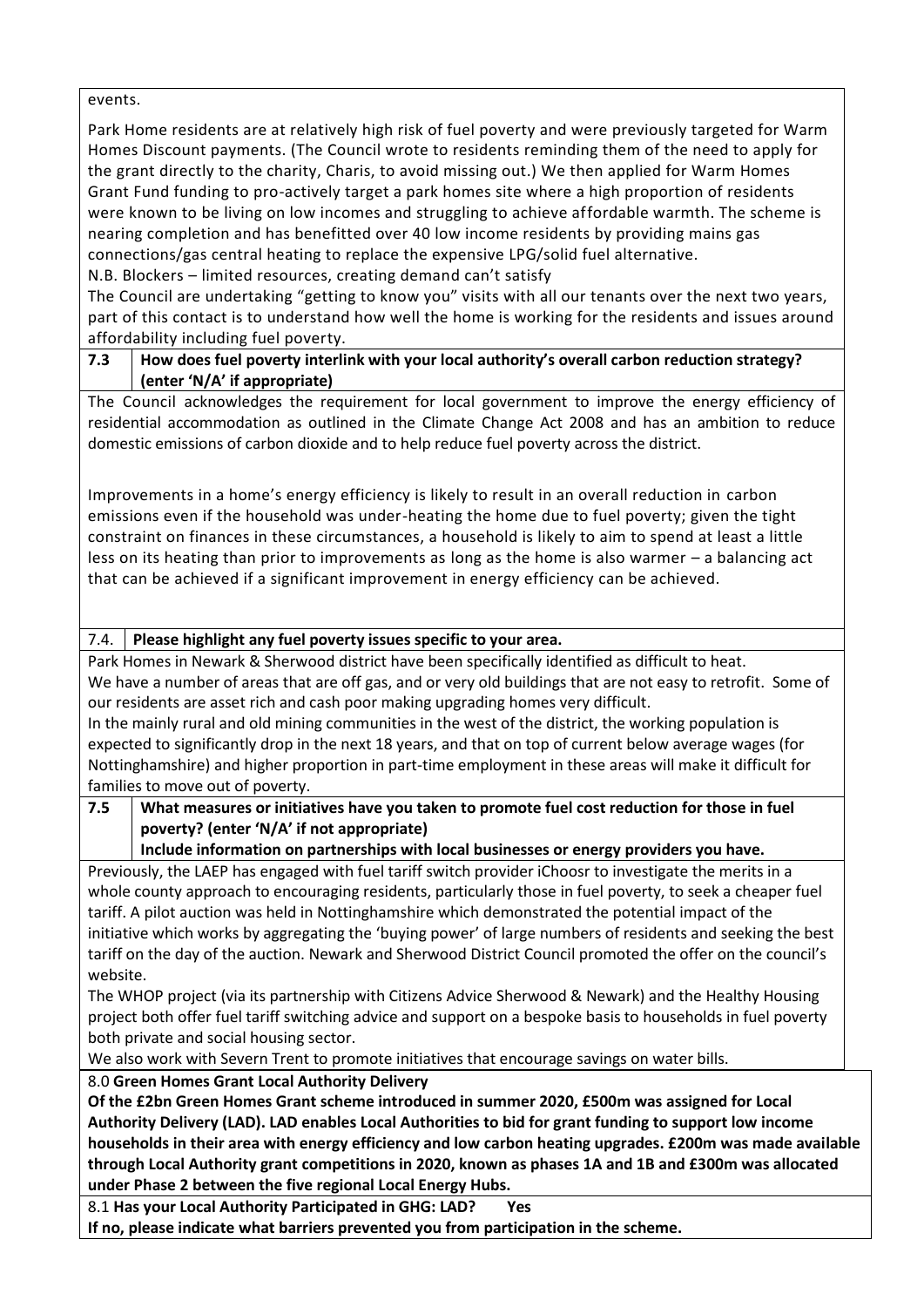events.

Park Home residents are at relatively high risk of fuel poverty and were previously targeted for Warm Homes Discount payments. (The Council wrote to residents reminding them of the need to apply for the grant directly to the charity, Charis, to avoid missing out.) We then applied for Warm Homes Grant Fund funding to pro-actively target a park homes site where a high proportion of residents were known to be living on low incomes and struggling to achieve affordable warmth. The scheme is nearing completion and has benefitted over 40 low income residents by providing mains gas connections/gas central heating to replace the expensive LPG/solid fuel alternative.

N.B. Blockers – limited resources, creating demand can't satisfy

The Council are undertaking "getting to know you" visits with all our tenants over the next two years, part of this contact is to understand how well the home is working for the residents and issues around affordability including fuel poverty.

### **7.3 How does fuel poverty interlink with your local authority's overall carbon reduction strategy? (enter 'N/A' if appropriate)**

The Council acknowledges the requirement for local government to improve the energy efficiency of residential accommodation as outlined in the Climate Change Act 2008 and has an ambition to reduce domestic emissions of carbon dioxide and to help reduce fuel poverty across the district.

Improvements in a home's energy efficiency is likely to result in an overall reduction in carbon emissions even if the household was under-heating the home due to fuel poverty; given the tight constraint on finances in these circumstances, a household is likely to aim to spend at least a little less on its heating than prior to improvements as long as the home is also warmer – a balancing act that can be achieved if a significant improvement in energy efficiency can be achieved.

# 7.4. **Please highlight any fuel poverty issues specific to your area.**

Park Homes in Newark & Sherwood district have been specifically identified as difficult to heat. We have a number of areas that are off gas, and or very old buildings that are not easy to retrofit. Some of our residents are asset rich and cash poor making upgrading homes very difficult. In the mainly rural and old mining communities in the west of the district, the working population is expected to significantly drop in the next 18 years, and that on top of current below average wages (for Nottinghamshire) and higher proportion in part-time employment in these areas will make it difficult for families to move out of poverty.

# **7.5 What measures or initiatives have you taken to promote fuel cost reduction for those in fuel poverty? (enter 'N/A' if not appropriate)**

**Include information on partnerships with local businesses or energy providers you have.** Previously, the LAEP has engaged with fuel tariff switch provider iChoosr to investigate the merits in a whole county approach to encouraging residents, particularly those in fuel poverty, to seek a cheaper fuel tariff. A pilot auction was held in Nottinghamshire which demonstrated the potential impact of the

initiative which works by aggregating the 'buying power' of large numbers of residents and seeking the best tariff on the day of the auction. Newark and Sherwood District Council promoted the offer on the council's website.

The WHOP project (via its partnership with Citizens Advice Sherwood & Newark) and the Healthy Housing project both offer fuel tariff switching advice and support on a bespoke basis to households in fuel poverty both private and social housing sector.

We also work with Severn Trent to promote initiatives that encourage savings on water bills.

# 8.0 **Green Homes Grant Local Authority Delivery**

**Of the £2bn Green Homes Grant scheme introduced in summer 2020, £500m was assigned for Local Authority Delivery (LAD). LAD enables Local Authorities to bid for grant funding to support low income households in their area with energy efficiency and low carbon heating upgrades. £200m was made available through Local Authority grant competitions in 2020, known as phases 1A and 1B and £300m was allocated under Phase 2 between the five regional Local Energy Hubs.**

8.1 **Has your Local Authority Participated in GHG: LAD? Yes**

**If no, please indicate what barriers prevented you from participation in the scheme.**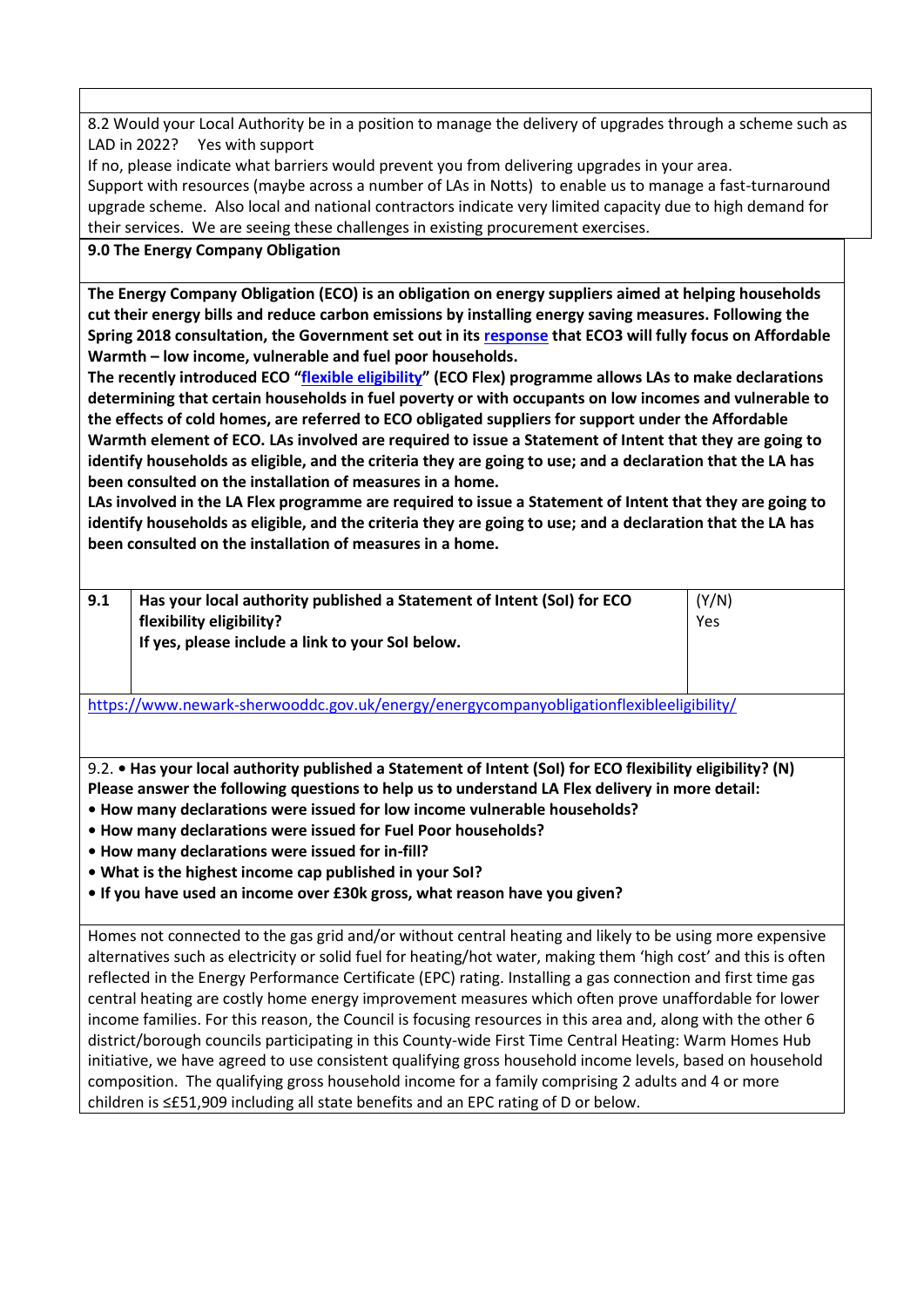8.2 Would your Local Authority be in a position to manage the delivery of upgrades through a scheme such as LAD in 2022? Yes with support

If no, please indicate what barriers would prevent you from delivering upgrades in your area. Support with resources (maybe across a number of LAs in Notts) to enable us to manage a fast-turnaround upgrade scheme. Also local and national contractors indicate very limited capacity due to high demand for their services. We are seeing these challenges in existing procurement exercises.

# **9.0 The Energy Company Obligation**

**The Energy Company Obligation (ECO) is an obligation on energy suppliers aimed at helping households cut their energy bills and reduce carbon emissions by installing energy saving measures. Following the Spring 2018 consultation, the Government set out in its [response](https://assets.publishing.service.gov.uk/government/uploads/system/uploads/attachment_data/file/727065/Energy_Company_Obligation_ECO3_2018-2022.pdf) that ECO3 will fully focus on Affordable Warmth – low income, vulnerable and fuel poor households.**

**The recently introduced ECO "[flexible eligibility](https://www.gov.uk/government/publications/energy-company-obligation-eco-help-to-heat-scheme-flexible-eligibility)" (ECO Flex) programme allows LAs to make declarations determining that certain households in fuel poverty or with occupants on low incomes and vulnerable to the effects of cold homes, are referred to ECO obligated suppliers for support under the Affordable Warmth element of ECO. LAs involved are required to issue a Statement of Intent that they are going to identify households as eligible, and the criteria they are going to use; and a declaration that the LA has been consulted on the installation of measures in a home.** 

**LAs involved in the LA Flex programme are required to issue a Statement of Intent that they are going to identify households as eligible, and the criteria they are going to use; and a declaration that the LA has been consulted on the installation of measures in a home.**

| 9.1 | Has your local authority published a Statement of Intent (SoI) for ECO | (Y/N) |
|-----|------------------------------------------------------------------------|-------|
|     | flexibility eligibility?                                               | Yes   |
|     | If yes, please include a link to your Sol below.                       |       |
|     |                                                                        |       |

<https://www.newark-sherwooddc.gov.uk/energy/energycompanyobligationflexibleeligibility/>

9.2. **• Has your local authority published a Statement of Intent (SoI) for ECO flexibility eligibility? (N) Please answer the following questions to help us to understand LA Flex delivery in more detail:**

- **How many declarations were issued for low income vulnerable households?**
- **How many declarations were issued for Fuel Poor households?**
- **How many declarations were issued for in-fill?**
- **What is the highest income cap published in your SoI?**
- **If you have used an income over £30k gross, what reason have you given?**

Homes not connected to the gas grid and/or without central heating and likely to be using more expensive alternatives such as electricity or solid fuel for heating/hot water, making them 'high cost' and this is often reflected in the Energy Performance Certificate (EPC) rating. Installing a gas connection and first time gas central heating are costly home energy improvement measures which often prove unaffordable for lower income families. For this reason, the Council is focusing resources in this area and, along with the other 6 district/borough councils participating in this County-wide First Time Central Heating: Warm Homes Hub initiative, we have agreed to use consistent qualifying gross household income levels, based on household composition. The qualifying gross household income for a family comprising 2 adults and 4 or more children is ≤£51,909 including all state benefits and an EPC rating of D or below.